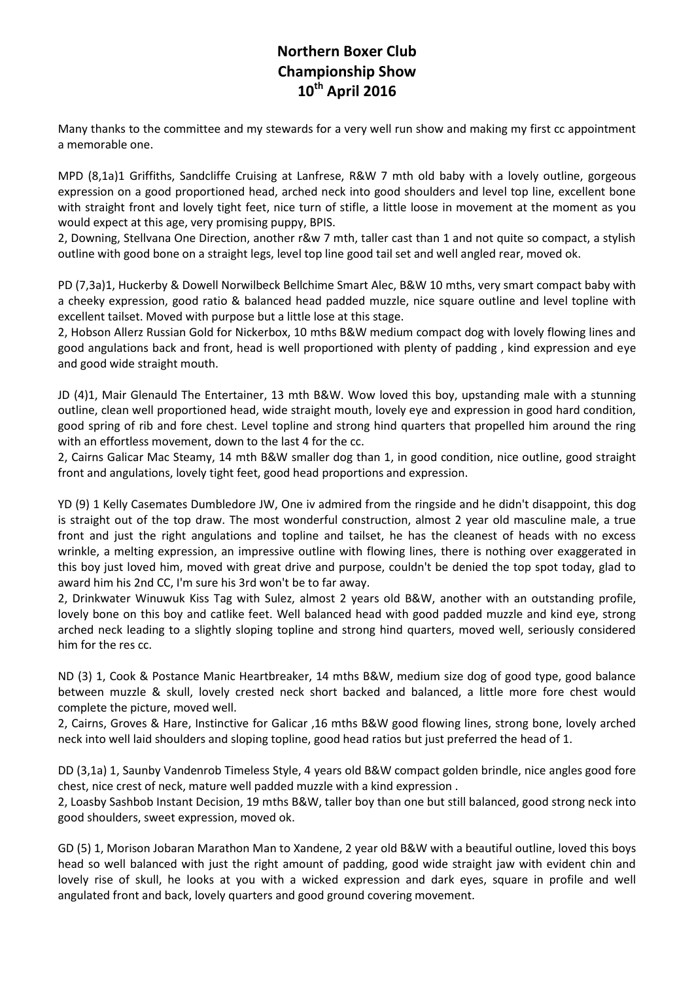## **Northern Boxer Club Championship Show 10th April 2016**

Many thanks to the committee and my stewards for a very well run show and making my first cc appointment a memorable one.

MPD (8,1a)1 Griffiths, Sandcliffe Cruising at Lanfrese, R&W 7 mth old baby with a lovely outline, gorgeous expression on a good proportioned head, arched neck into good shoulders and level top line, excellent bone with straight front and lovely tight feet, nice turn of stifle, a little loose in movement at the moment as you would expect at this age, very promising puppy, BPIS.

2, Downing, Stellvana One Direction, another r&w 7 mth, taller cast than 1 and not quite so compact, a stylish outline with good bone on a straight legs, level top line good tail set and well angled rear, moved ok.

PD (7,3a)1, Huckerby & Dowell Norwilbeck Bellchime Smart Alec, B&W 10 mths, very smart compact baby with a cheeky expression, good ratio & balanced head padded muzzle, nice square outline and level topline with excellent tailset. Moved with purpose but a little lose at this stage.

2, Hobson Allerz Russian Gold for Nickerbox, 10 mths B&W medium compact dog with lovely flowing lines and good angulations back and front, head is well proportioned with plenty of padding , kind expression and eye and good wide straight mouth.

JD (4)1, Mair Glenauld The Entertainer, 13 mth B&W. Wow loved this boy, upstanding male with a stunning outline, clean well proportioned head, wide straight mouth, lovely eye and expression in good hard condition, good spring of rib and fore chest. Level topline and strong hind quarters that propelled him around the ring with an effortless movement, down to the last 4 for the cc.

2, Cairns Galicar Mac Steamy, 14 mth B&W smaller dog than 1, in good condition, nice outline, good straight front and angulations, lovely tight feet, good head proportions and expression.

YD (9) 1 Kelly Casemates Dumbledore JW, One iv admired from the ringside and he didn't disappoint, this dog is straight out of the top draw. The most wonderful construction, almost 2 year old masculine male, a true front and just the right angulations and topline and tailset, he has the cleanest of heads with no excess wrinkle, a melting expression, an impressive outline with flowing lines, there is nothing over exaggerated in this boy just loved him, moved with great drive and purpose, couldn't be denied the top spot today, glad to award him his 2nd CC, I'm sure his 3rd won't be to far away.

2, Drinkwater Winuwuk Kiss Tag with Sulez, almost 2 years old B&W, another with an outstanding profile, lovely bone on this boy and catlike feet. Well balanced head with good padded muzzle and kind eye, strong arched neck leading to a slightly sloping topline and strong hind quarters, moved well, seriously considered him for the res cc.

ND (3) 1, Cook & Postance Manic Heartbreaker, 14 mths B&W, medium size dog of good type, good balance between muzzle & skull, lovely crested neck short backed and balanced, a little more fore chest would complete the picture, moved well.

2, Cairns, Groves & Hare, Instinctive for Galicar ,16 mths B&W good flowing lines, strong bone, lovely arched neck into well laid shoulders and sloping topline, good head ratios but just preferred the head of 1.

DD (3,1a) 1, Saunby Vandenrob Timeless Style, 4 years old B&W compact golden brindle, nice angles good fore chest, nice crest of neck, mature well padded muzzle with a kind expression .

2, Loasby Sashbob Instant Decision, 19 mths B&W, taller boy than one but still balanced, good strong neck into good shoulders, sweet expression, moved ok.

GD (5) 1, Morison Jobaran Marathon Man to Xandene, 2 year old B&W with a beautiful outline, loved this boys head so well balanced with just the right amount of padding, good wide straight jaw with evident chin and lovely rise of skull, he looks at you with a wicked expression and dark eyes, square in profile and well angulated front and back, lovely quarters and good ground covering movement.